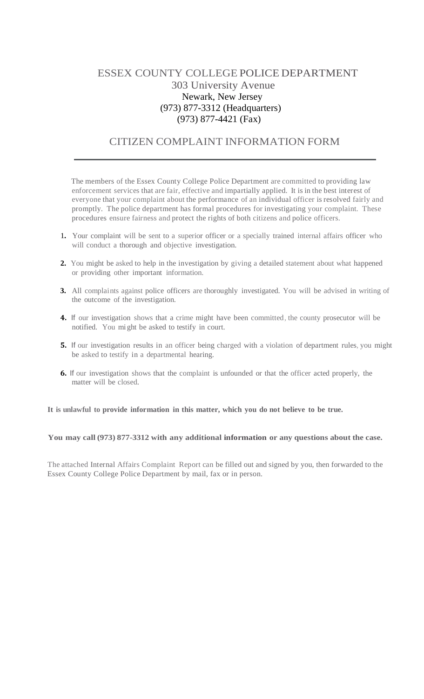## ESSEX COUNTY COLLEGE POLICE DEPARTMENT 303 University Avenue Newark, New Jersey (973) 877-3312 (Headquarters) (973) 877-4421 (Fax)

## CITIZEN COMPLAINT INFORMATION FORM

The members of the Essex County College Police Department are committed to providing law enforcement services that are fair, effective and impartially applied. It is in the best interest of everyone that your complaint about the performance of an individual officer is resolved fairly and promptly. The police department has formal procedures for investigating your complaint. These procedures ensure fairness and protect the rights of both citizens and police officers.

- 1**.** Your complaint will be sent to a superior officer or a specially trained internal affairs officer who will conduct a thorough and objective investigation.
- **2.** You might be asked to help in the investigation by giving a detailed statement about what happened or providing other important information.
- **3.** All complaints against police officers are thoroughly investigated. You will be advised in writing of the outcome of the investigation.
- **4.**If our investigation shows that a crime might have been committed, the county prosecutor will be notified. You mi ght be asked to testify in court.
- **5.**If our investigation results in an officer being charged with a violation of department rules, you might be asked to testify in a departmental hearing.
- **6.** If our investigation shows that the complaint is unfounded or that the officer acted properly, the matter will be closed.

**It is unlawful to provide information in this matter, which you do not believe to be true.**

## **You may call (973) 877-3312 with any additional information or any questions about the case.**

The attached Internal Affairs Complaint Report can be filled out and signed by you, then forwarded to the Essex County College Police Department by mail, fax or in person.